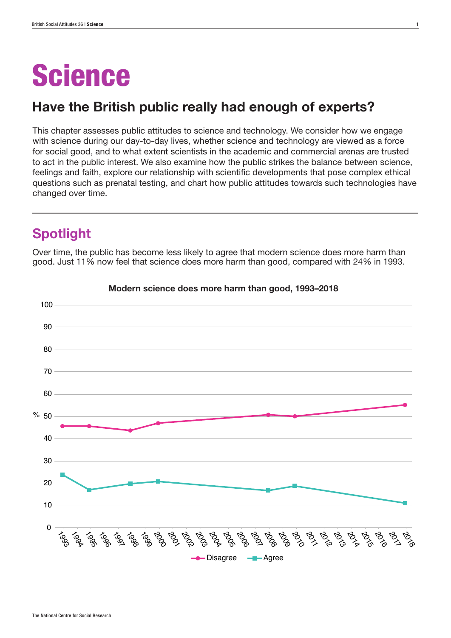# Science

# Have the British public really had enough of experts?

This chapter assesses public attitudes to science and technology. We consider how we engage with science during our day-to-day lives, whether science and technology are viewed as a force for social good, and to what extent scientists in the academic and commercial arenas are trusted to act in the public interest. We also examine how the public strikes the balance between science, feelings and faith, explore our relationship with scientific developments that pose complex ethical questions such as prenatal testing, and chart how public attitudes towards such technologies have changed over time.

# Spotlight

Over time, the public has become less likely to agree that modern science does more harm than good. Just 11% now feel that science does more harm than good, compared with 24% in 1993.



#### Modern science does more harm than good, 1993–2018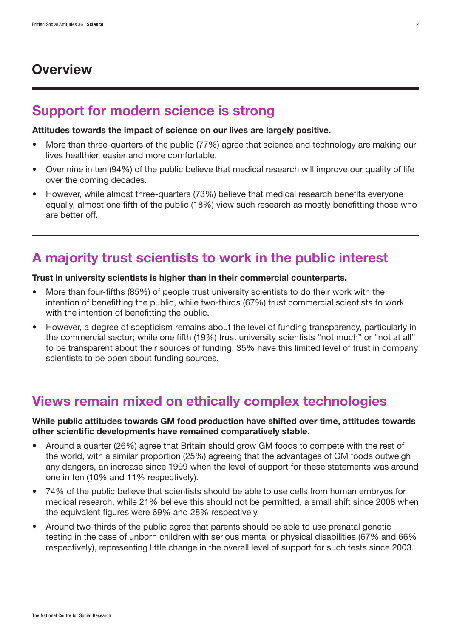# **Overview**

# Support for modern science is strong

#### Attitudes towards the impact of science on our lives are largely positive.

- More than three-quarters of the public (77%) agree that science and technology are making our lives healthier, easier and more comfortable.
- Over nine in ten (94%) of the public believe that medical research will improve our quality of life over the coming decades.
- However, while almost three-quarters (73%) believe that medical research benefits everyone equally, almost one fifth of the public (18%) view such research as mostly benefitting those who are better off.

# A majority trust scientists to work in the public interest

#### Trust in university scientists is higher than in their commercial counterparts.

- More than four-fifths (85%) of people trust university scientists to do their work with the intention of benefitting the public, while two-thirds (67%) trust commercial scientists to work with the intention of benefitting the public.
- However, a degree of scepticism remains about the level of funding transparency, particularly in the commercial sector; while one fifth (19%) trust university scientists "not much" or "not at all" to be transparent about their sources of funding, 35% have this limited level of trust in company scientists to be open about funding sources.

# Views remain mixed on ethically complex technologies

#### While public attitudes towards GM food production have shifted over time, attitudes towards other scientific developments have remained comparatively stable.

- Around a quarter (26%) agree that Britain should grow GM foods to compete with the rest of the world, with a similar proportion (25%) agreeing that the advantages of GM foods outweigh any dangers, an increase since 1999 when the level of support for these statements was around one in ten (10% and 11% respectively).
- 74% of the public believe that scientists should be able to use cells from human embryos for medical research, while 21% believe this should not be permitted, a small shift since 2008 when the equivalent figures were 69% and 28% respectively.
- Around two-thirds of the public agree that parents should be able to use prenatal genetic testing in the case of unborn children with serious mental or physical disabilities (67% and 66% respectively), representing little change in the overall level of support for such tests since 2003.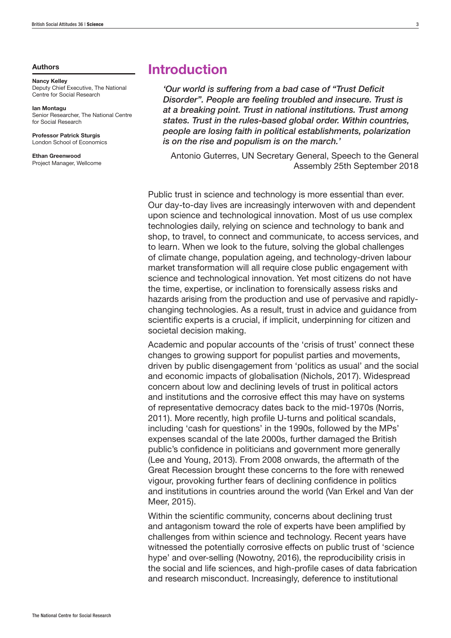#### Authors

#### Nancy Kelley

Deputy Chief Executive, The National Centre for Social Research

#### Ian Montagu Senior Researcher, The National Centre for Social Research

Professor Patrick Sturgis London School of Economics

Ethan Greenwood Project Manager, Wellcome

## Introduction

*'Our world is suffering from a bad case of "Trust Deficit Disorder". People are feeling troubled and insecure. Trust is at a breaking point. Trust in national institutions. Trust among states. Trust in the rules-based global order. Within countries, people are losing faith in political establishments, polarization is on the rise and populism is on the march.'*

Antonio Guterres, UN Secretary General, Speech to the General Assembly 25th September 2018

Public trust in science and technology is more essential than ever. Our day-to-day lives are increasingly interwoven with and dependent upon science and technological innovation. Most of us use complex technologies daily, relying on science and technology to bank and shop, to travel, to connect and communicate, to access services, and to learn. When we look to the future, solving the global challenges of climate change, population ageing, and technology-driven labour market transformation will all require close public engagement with science and technological innovation. Yet most citizens do not have the time, expertise, or inclination to forensically assess risks and hazards arising from the production and use of pervasive and rapidlychanging technologies. As a result, trust in advice and guidance from scientific experts is a crucial, if implicit, underpinning for citizen and societal decision making.

Academic and popular accounts of the 'crisis of trust' connect these changes to growing support for populist parties and movements, driven by public disengagement from 'politics as usual' and the social and economic impacts of globalisation (Nichols, 2017). Widespread concern about low and declining levels of trust in political actors and institutions and the corrosive effect this may have on systems of representative democracy dates back to the mid-1970s (Norris, 2011). More recently, high profile U-turns and political scandals, including 'cash for questions' in the 1990s, followed by the MPs' expenses scandal of the late 2000s, further damaged the British public's confidence in politicians and government more generally (Lee and Young, 2013). From 2008 onwards, the aftermath of the Great Recession brought these concerns to the fore with renewed vigour, provoking further fears of declining confidence in politics and institutions in countries around the world (Van Erkel and Van der Meer, 2015).

Within the scientific community, concerns about declining trust and antagonism toward the role of experts have been amplified by challenges from within science and technology. Recent years have witnessed the potentially corrosive effects on public trust of 'science hype' and over-selling (Nowotny, 2016), the reproducibility crisis in the social and life sciences, and high-profile cases of data fabrication and research misconduct. Increasingly, deference to institutional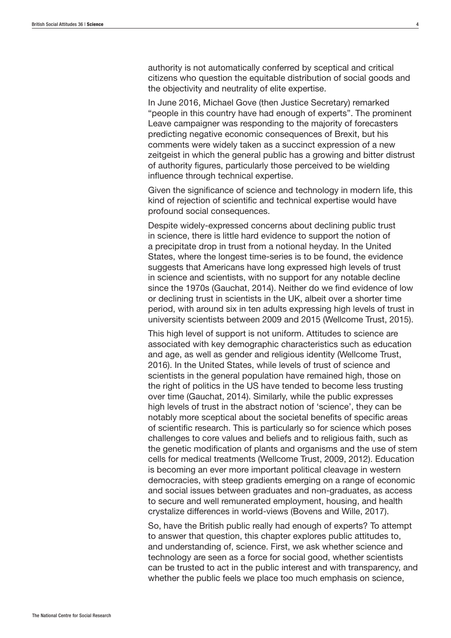authority is not automatically conferred by sceptical and critical citizens who question the equitable distribution of social goods and the objectivity and neutrality of elite expertise.

In June 2016, Michael Gove (then Justice Secretary) remarked "people in this country have had enough of experts". The prominent Leave campaigner was responding to the majority of forecasters predicting negative economic consequences of Brexit, but his comments were widely taken as a succinct expression of a new zeitgeist in which the general public has a growing and bitter distrust of authority figures, particularly those perceived to be wielding influence through technical expertise.

Given the significance of science and technology in modern life, this kind of rejection of scientific and technical expertise would have profound social consequences.

Despite widely-expressed concerns about declining public trust in science, there is little hard evidence to support the notion of a precipitate drop in trust from a notional heyday. In the United States, where the longest time-series is to be found, the evidence suggests that Americans have long expressed high levels of trust in science and scientists, with no support for any notable decline since the 1970s (Gauchat, 2014). Neither do we find evidence of low or declining trust in scientists in the UK, albeit over a shorter time period, with around six in ten adults expressing high levels of trust in university scientists between 2009 and 2015 (Wellcome Trust, 2015).

This high level of support is not uniform. Attitudes to science are associated with key demographic characteristics such as education and age, as well as gender and religious identity (Wellcome Trust, 2016). In the United States, while levels of trust of science and scientists in the general population have remained high, those on the right of politics in the US have tended to become less trusting over time (Gauchat, 2014). Similarly, while the public expresses high levels of trust in the abstract notion of 'science', they can be notably more sceptical about the societal benefits of specific areas of scientific research. This is particularly so for science which poses challenges to core values and beliefs and to religious faith, such as the genetic modification of plants and organisms and the use of stem cells for medical treatments (Wellcome Trust, 2009, 2012). Education is becoming an ever more important political cleavage in western democracies, with steep gradients emerging on a range of economic and social issues between graduates and non-graduates, as access to secure and well remunerated employment, housing, and health crystalize differences in world-views (Bovens and Wille, 2017).

So, have the British public really had enough of experts? To attempt to answer that question, this chapter explores public attitudes to, and understanding of, science. First, we ask whether science and technology are seen as a force for social good, whether scientists can be trusted to act in the public interest and with transparency, and whether the public feels we place too much emphasis on science,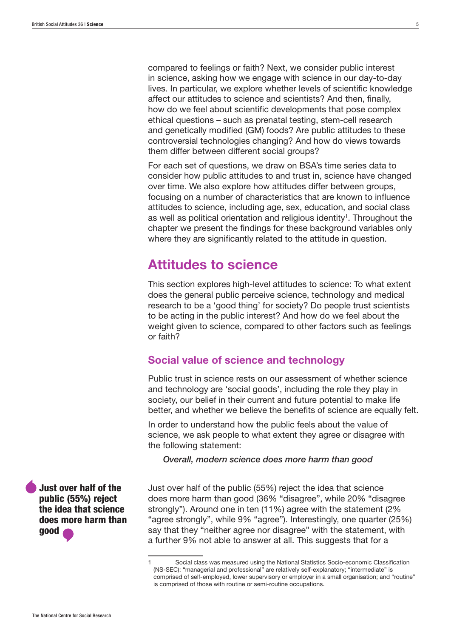compared to feelings or faith? Next, we consider public interest in science, asking how we engage with science in our day-to-day lives. In particular, we explore whether levels of scientific knowledge affect our attitudes to science and scientists? And then, finally, how do we feel about scientific developments that pose complex ethical questions – such as prenatal testing, stem-cell research and genetically modified (GM) foods? Are public attitudes to these controversial technologies changing? And how do views towards them differ between different social groups?

For each set of questions, we draw on BSA's time series data to consider how public attitudes to and trust in, science have changed over time. We also explore how attitudes differ between groups, focusing on a number of characteristics that are known to influence attitudes to science, including age, sex, education, and social class as well as political orientation and religious identity<sup>1</sup>. Throughout the chapter we present the findings for these background variables only where they are significantly related to the attitude in question.

# Attitudes to science

This section explores high-level attitudes to science: To what extent does the general public perceive science, technology and medical research to be a 'good thing' for society? Do people trust scientists to be acting in the public interest? And how do we feel about the weight given to science, compared to other factors such as feelings or faith?

## Social value of science and technology

Public trust in science rests on our assessment of whether science and technology are 'social goods', including the role they play in society, our belief in their current and future potential to make life better, and whether we believe the benefits of science are equally felt.

In order to understand how the public feels about the value of science, we ask people to what extent they agree or disagree with the following statement:

*Overall, modern science does more harm than good*

Just over half of the public (55%) reject the idea that science does more harm than good (36% "disagree", while 20% "disagree strongly"). Around one in ten (11%) agree with the statement (2% "agree strongly", while 9% "agree"). Interestingly, one quarter (25%) say that they "neither agree nor disagree" with the statement, with a further 9% not able to answer at all. This suggests that for a

Just over half of the public (55%) reject the idea that science does more harm than good

<sup>1</sup> Social class was measured using the National Statistics Socio-economic Classification (NS-SEC): "managerial and professional" are relatively self-explanatory; "intermediate" is comprised of self-employed, lower supervisory or employer in a small organisation; and "routine" is comprised of those with routine or semi-routine occupations.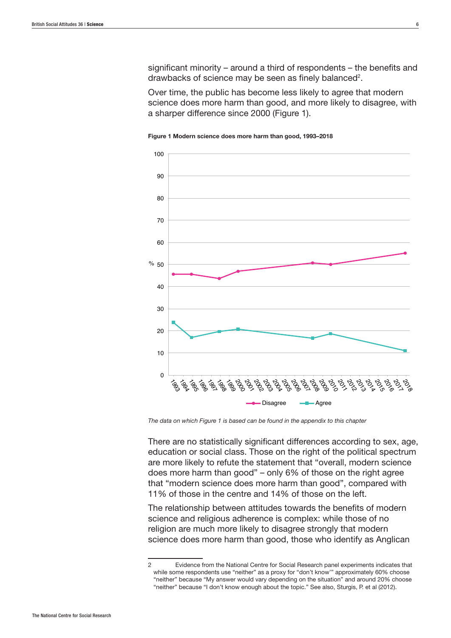significant minority – around a third of respondents – the benefits and drawbacks of science may be seen as finely balanced<sup>2</sup>.

Over time, the public has become less likely to agree that modern science does more harm than good, and more likely to disagree, with a sharper difference since 2000 (Figure 1).



Figure 1 Modern science does more harm than good, 1993–2018

*The data on which Figure 1 is based can be found in the appendix to this chapter*

There are no statistically significant differences according to sex, age, education or social class. Those on the right of the political spectrum are more likely to refute the statement that "overall, modern science does more harm than good" – only 6% of those on the right agree that "modern science does more harm than good", compared with 11% of those in the centre and 14% of those on the left.

The relationship between attitudes towards the benefits of modern science and religious adherence is complex: while those of no religion are much more likely to disagree strongly that modern science does more harm than good, those who identify as Anglican

<sup>2</sup> Evidence from the National Centre for Social Research panel experiments indicates that while some respondents use "neither" as a proxy for "don't know'" approximately 60% choose "neither" because "My answer would vary depending on the situation" and around 20% choose "neither" because "I don't know enough about the topic." See also, Sturgis, P. et al (2012).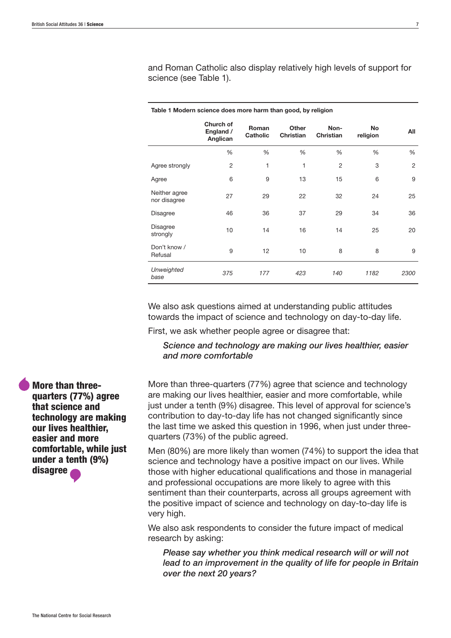and Roman Catholic also display relatively high levels of support for science (see Table 1).

| Table 1 Modern science does more harm than good, by religion |                                    |                          |                           |                   |                |                |  |  |  |
|--------------------------------------------------------------|------------------------------------|--------------------------|---------------------------|-------------------|----------------|----------------|--|--|--|
|                                                              | Church of<br>England /<br>Anglican | Roman<br><b>Catholic</b> | Other<br><b>Christian</b> | Non-<br>Christian | No<br>religion | All            |  |  |  |
|                                                              | %                                  | %                        | %                         | %                 | %              | %              |  |  |  |
| Agree strongly                                               | $\overline{2}$                     | 1                        | 1                         | 2                 | 3              | $\overline{2}$ |  |  |  |
| Agree                                                        | 6                                  | 9                        | 13                        | 15                | 6              | 9              |  |  |  |
| Neither agree<br>nor disagree                                | 27                                 | 29                       | 22                        | 32                | 24             | 25             |  |  |  |
| <b>Disagree</b>                                              | 46                                 | 36                       | 37                        | 29                | 34             | 36             |  |  |  |
| <b>Disagree</b><br>strongly                                  | 10                                 | 14                       | 16                        | 14                | 25             | 20             |  |  |  |
| Don't know /<br>Refusal                                      | 9                                  | 12                       | 10                        | 8                 | 8              | 9              |  |  |  |
| Unweighted<br>base                                           | 375                                | 177                      | 423                       | 140               | 1182           | 2300           |  |  |  |

We also ask questions aimed at understanding public attitudes towards the impact of science and technology on day-to-day life.

First, we ask whether people agree or disagree that:

*Science and technology are making our lives healthier, easier and more comfortable*

More than three-quarters (77%) agree that science and technology are making our lives healthier, easier and more comfortable, while just under a tenth (9%) disagree. This level of approval for science's contribution to day-to-day life has not changed significantly since the last time we asked this question in 1996, when just under threequarters (73%) of the public agreed.

Men (80%) are more likely than women (74%) to support the idea that science and technology have a positive impact on our lives. While those with higher educational qualifications and those in managerial and professional occupations are more likely to agree with this sentiment than their counterparts, across all groups agreement with the positive impact of science and technology on day-to-day life is very high.

We also ask respondents to consider the future impact of medical research by asking:

*Please say whether you think medical research will or will not lead to an improvement in the quality of life for people in Britain over the next 20 years?*

More than threequarters (77%) agree that science and technology are making our lives healthier, easier and more comfortable, while just under a tenth (9%) disagree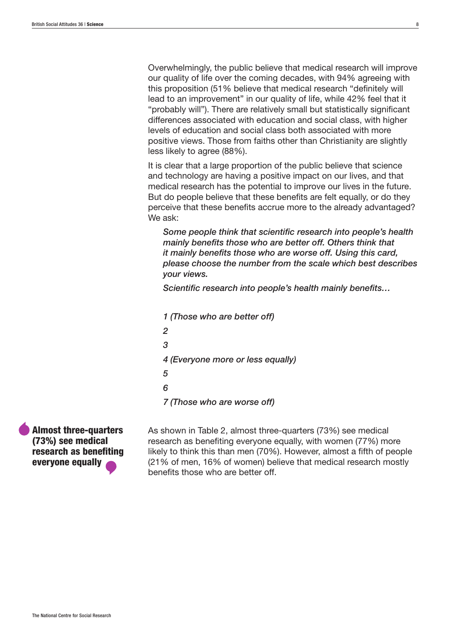Overwhelmingly, the public believe that medical research will improve our quality of life over the coming decades, with 94% agreeing with this proposition (51% believe that medical research "definitely will lead to an improvement" in our quality of life, while 42% feel that it "probably will"). There are relatively small but statistically significant differences associated with education and social class, with higher levels of education and social class both associated with more positive views. Those from faiths other than Christianity are slightly less likely to agree (88%).

It is clear that a large proportion of the public believe that science and technology are having a positive impact on our lives, and that medical research has the potential to improve our lives in the future. But do people believe that these benefits are felt equally, or do they perceive that these benefits accrue more to the already advantaged? We ask:

*Some people think that scientific research into people's health mainly benefits those who are better off. Others think that it mainly benefits those who are worse off. Using this card, please choose the number from the scale which best describes your views.*

*Scientific research into people's health mainly benefits…*

*1 (Those who are better off) 2 3 4 (Everyone more or less equally) 5 6 7 (Those who are worse off)*

Almost three-quarters (73%) see medical research as benefiting everyone equally

As shown in Table 2, almost three-quarters (73%) see medical research as benefiting everyone equally, with women (77%) more likely to think this than men (70%). However, almost a fifth of people (21% of men, 16% of women) believe that medical research mostly benefits those who are better off.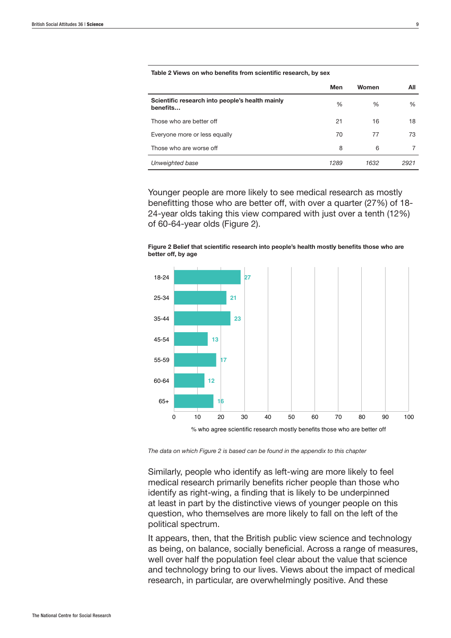|                                                             | Men  | Women | All  |
|-------------------------------------------------------------|------|-------|------|
| Scientific research into people's health mainly<br>benefits | $\%$ | $\%$  | %    |
| Those who are better off                                    | 21   | 16    | 18   |
| Everyone more or less equally                               | 70   | 77    | 73   |
| Those who are worse off                                     | 8    | 6     |      |
| Unweighted base                                             | 1289 | 1632  | 2921 |

Table 2 Views on who benefits from scientific research, by sex

Younger people are more likely to see medical research as mostly benefitting those who are better off, with over a quarter (27%) of 18- 24-year olds taking this view compared with just over a tenth (12%) of 60-64-year olds (Figure 2).





*The data on which Figure 2 is based can be found in the appendix to this chapter*

Similarly, people who identify as left-wing are more likely to feel medical research primarily benefits richer people than those who identify as right-wing, a finding that is likely to be underpinned at least in part by the distinctive views of younger people on this question, who themselves are more likely to fall on the left of the political spectrum.

It appears, then, that the British public view science and technology as being, on balance, socially beneficial. Across a range of measures, well over half the population feel clear about the value that science and technology bring to our lives. Views about the impact of medical research, in particular, are overwhelmingly positive. And these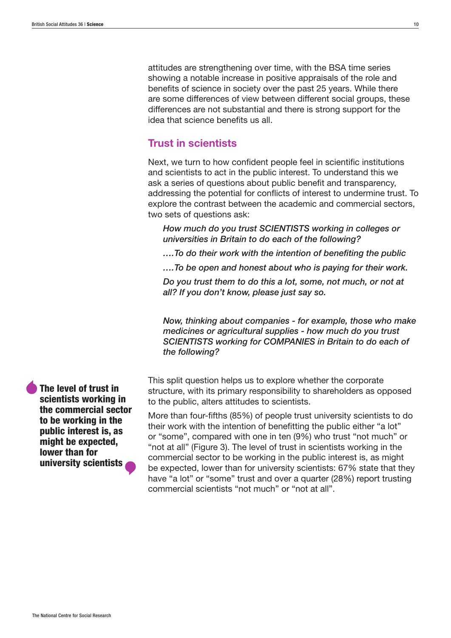attitudes are strengthening over time, with the BSA time series showing a notable increase in positive appraisals of the role and benefits of science in society over the past 25 years. While there are some differences of view between different social groups, these differences are not substantial and there is strong support for the idea that science benefits us all.

## Trust in scientists

Next, we turn to how confident people feel in scientific institutions and scientists to act in the public interest. To understand this we ask a series of questions about public benefit and transparency, addressing the potential for conflicts of interest to undermine trust. To explore the contrast between the academic and commercial sectors, two sets of questions ask:

*How much do you trust SCIENTISTS working in colleges or universities in Britain to do each of the following?* 

*….To do their work with the intention of benefiting the public*

*….To be open and honest about who is paying for their work.*

*Do you trust them to do this a lot, some, not much, or not at all? If you don't know, please just say so.*

*Now, thinking about companies - for example, those who make medicines or agricultural supplies - how much do you trust SCIENTISTS working for COMPANIES in Britain to do each of the following?*

This split question helps us to explore whether the corporate structure, with its primary responsibility to shareholders as opposed to the public, alters attitudes to scientists.

More than four-fifths (85%) of people trust university scientists to do their work with the intention of benefitting the public either "a lot" or "some", compared with one in ten (9%) who trust "not much" or "not at all" (Figure 3). The level of trust in scientists working in the commercial sector to be working in the public interest is, as might be expected, lower than for university scientists: 67% state that they have "a lot" or "some" trust and over a quarter (28%) report trusting commercial scientists "not much" or "not at all".

The level of trust in scientists working in the commercial sector to be working in the public interest is, as might be expected, lower than for university scientists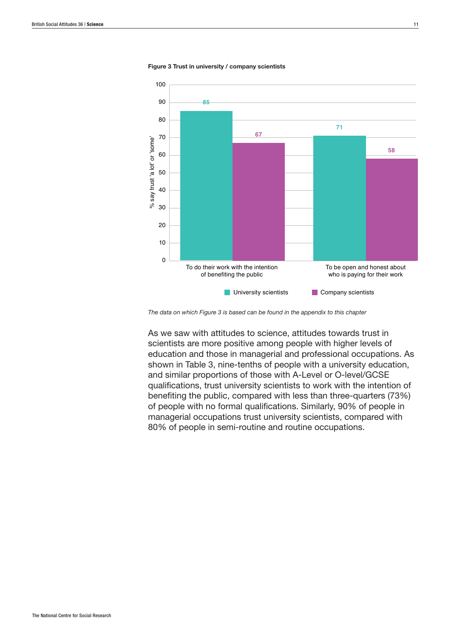

Figure 3 Trust in university / company scientists

*The data on which Figure 3 is based can be found in the appendix to this chapter*

As we saw with attitudes to science, attitudes towards trust in scientists are more positive among people with higher levels of education and those in managerial and professional occupations. As shown in Table 3, nine-tenths of people with a university education, and similar proportions of those with A-Level or O-level/GCSE qualifications, trust university scientists to work with the intention of benefiting the public, compared with less than three-quarters (73%) of people with no formal qualifications. Similarly, 90% of people in managerial occupations trust university scientists, compared with 80% of people in semi-routine and routine occupations.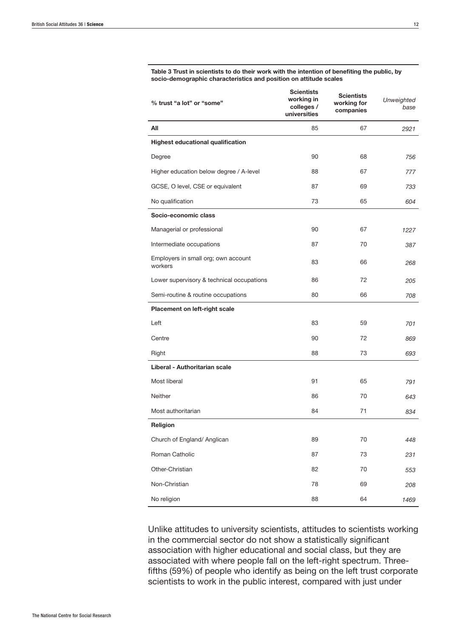| % trust "a lot" or "some"                      | <b>Scientists</b><br>working in<br>colleges /<br>universities | <b>Scientists</b><br>working for<br>companies | Unweighted<br>base |
|------------------------------------------------|---------------------------------------------------------------|-----------------------------------------------|--------------------|
| All                                            | 85                                                            | 67                                            | 2921               |
| <b>Highest educational qualification</b>       |                                                               |                                               |                    |
| Degree                                         | 90                                                            | 68                                            | 756                |
| Higher education below degree / A-level        | 88                                                            | 67                                            | 777                |
| GCSE, O level, CSE or equivalent               | 87                                                            | 69                                            | 733                |
| No qualification                               | 73                                                            | 65                                            | 604                |
| Socio-economic class                           |                                                               |                                               |                    |
| Managerial or professional                     | 90                                                            | 67                                            | 1227               |
| Intermediate occupations                       | 87                                                            | 70                                            | 387                |
| Employers in small org; own account<br>workers | 83                                                            | 66                                            | 268                |
| Lower supervisory & technical occupations      | 86                                                            | 72                                            | 205                |
| Semi-routine & routine occupations             | 80                                                            | 66                                            | 708                |
| Placement on left-right scale                  |                                                               |                                               |                    |
| Left                                           | 83                                                            | 59                                            | 701                |
| Centre                                         | 90                                                            | 72                                            | 869                |
| Right                                          | 88                                                            | 73                                            | 693                |
| Liberal - Authoritarian scale                  |                                                               |                                               |                    |
| Most liberal                                   | 91                                                            | 65                                            | 791                |
| <b>Neither</b>                                 | 86                                                            | 70                                            | 643                |
| Most authoritarian                             | 84                                                            | 71                                            | 834                |
| Religion                                       |                                                               |                                               |                    |
| Church of England/ Anglican                    | 89                                                            | 70                                            | 448                |
| Roman Catholic                                 | 87                                                            | 73                                            | 231                |
| Other-Christian                                | 82                                                            | 70                                            | 553                |
| Non-Christian                                  | 78                                                            | 69                                            | 208                |
| No religion                                    | 88                                                            | 64                                            | 1469               |

Table 3 Trust in scientists to do their work with the intention of benefiting the public, by socio-demographic characteristics and position on attitude scales

Unlike attitudes to university scientists, attitudes to scientists working in the commercial sector do not show a statistically significant association with higher educational and social class, but they are associated with where people fall on the left-right spectrum. Threefifths (59%) of people who identify as being on the left trust corporate scientists to work in the public interest, compared with just under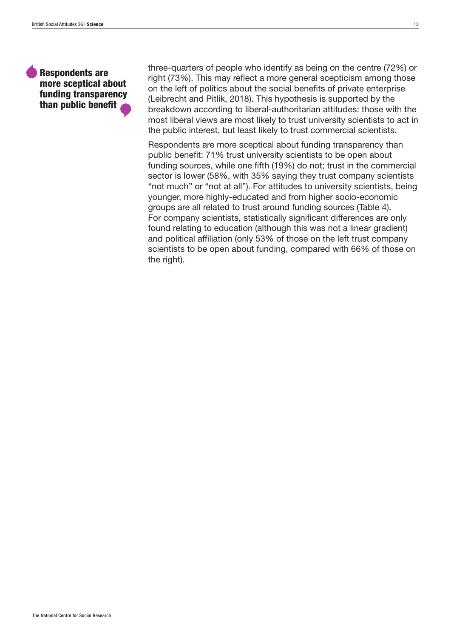three-quarters of people who identify as being on the centre (72%) or right (73%). This may reflect a more general scepticism among those on the left of politics about the social benefits of private enterprise (Leibrecht and Pitlik, 2018). This hypothesis is supported by the breakdown according to liberal-authoritarian attitudes: those with the most liberal views are most likely to trust university scientists to act in the public interest, but least likely to trust commercial scientists.

Respondents are more sceptical about funding transparency than public benefit: 71% trust university scientists to be open about funding sources, while one fifth (19%) do not; trust in the commercial sector is lower (58%, with 35% saying they trust company scientists "not much" or "not at all"). For attitudes to university scientists, being younger, more highly-educated and from higher socio-economic groups are all related to trust around funding sources (Table 4). For company scientists, statistically significant differences are only found relating to education (although this was not a linear gradient) and political affiliation (only 53% of those on the left trust company scientists to be open about funding, compared with 66% of those on the right).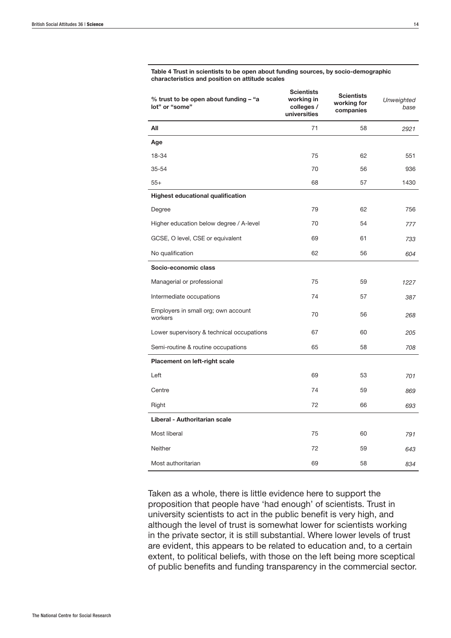| % trust to be open about funding - "a<br>lot" or "some" | <b>Scientists</b><br>working in<br>colleges /<br>universities | <b>Scientists</b><br>working for<br>companies | Unweighted<br>base |
|---------------------------------------------------------|---------------------------------------------------------------|-----------------------------------------------|--------------------|
| All                                                     | 71                                                            | 58                                            | 2921               |
| Age                                                     |                                                               |                                               |                    |
| 18-34                                                   | 75                                                            | 62                                            | 551                |
| $35 - 54$                                               | 70                                                            | 56                                            | 936                |
| $55+$                                                   | 68                                                            | 57                                            | 1430               |
| Highest educational qualification                       |                                                               |                                               |                    |
| Degree                                                  | 79                                                            | 62                                            | 756                |
| Higher education below degree / A-level                 | 70                                                            | 54                                            | 777                |
| GCSE, O level, CSE or equivalent                        | 69                                                            | 61                                            | 733                |
| No qualification                                        | 62                                                            | 56                                            | 604                |
| Socio-economic class                                    |                                                               |                                               |                    |
| Managerial or professional                              | 75                                                            | 59                                            | 1227               |
| Intermediate occupations                                | 74                                                            | 57                                            | 387                |
| Employers in small org; own account<br>workers          | 70                                                            | 56                                            | 268                |
| Lower supervisory & technical occupations               | 67                                                            | 60                                            | 205                |
| Semi-routine & routine occupations                      | 65                                                            | 58                                            | 708                |
| <b>Placement on left-right scale</b>                    |                                                               |                                               |                    |
| Left                                                    | 69                                                            | 53                                            | 701                |
| Centre                                                  | 74                                                            | 59                                            | 869                |
| Right                                                   | 72                                                            | 66                                            | 693                |
| Liberal - Authoritarian scale                           |                                                               |                                               |                    |
| Most liberal                                            | 75                                                            | 60                                            | 791                |
| <b>Neither</b>                                          | 72                                                            | 59                                            | 643                |
| Most authoritarian                                      | 69                                                            | 58                                            | 834                |

Table 4 Trust in scientists to be open about funding sources, by socio-demographic characteristics and position on attitude scales

Taken as a whole, there is little evidence here to support the proposition that people have 'had enough' of scientists. Trust in university scientists to act in the public benefit is very high, and although the level of trust is somewhat lower for scientists working in the private sector, it is still substantial. Where lower levels of trust are evident, this appears to be related to education and, to a certain extent, to political beliefs, with those on the left being more sceptical of public benefits and funding transparency in the commercial sector.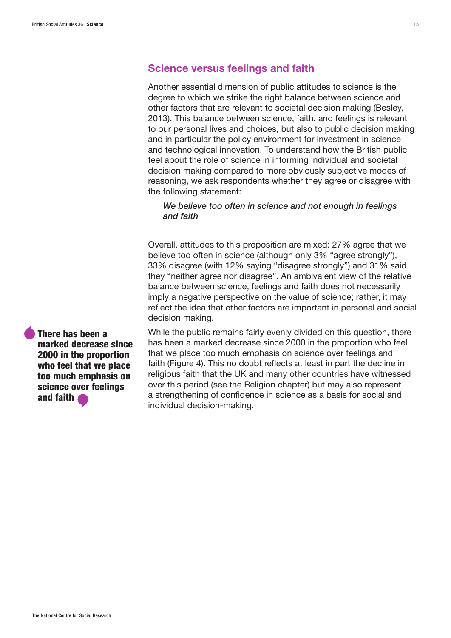## Science versus feelings and faith

Another essential dimension of public attitudes to science is the degree to which we strike the right balance between science and other factors that are relevant to societal decision making (Besley, 2013). This balance between science, faith, and feelings is relevant to our personal lives and choices, but also to public decision making and in particular the policy environment for investment in science and technological innovation. To understand how the British public feel about the role of science in informing individual and societal decision making compared to more obviously subjective modes of reasoning, we ask respondents whether they agree or disagree with the following statement:

#### *We believe too often in science and not enough in feelings and faith*

Overall, attitudes to this proposition are mixed: 27% agree that we believe too often in science (although only 3% "agree strongly"), 33% disagree (with 12% saying "disagree strongly") and 31% said they "neither agree nor disagree". An ambivalent view of the relative balance between science, feelings and faith does not necessarily imply a negative perspective on the value of science; rather, it may reflect the idea that other factors are important in personal and social decision making.

There has been a marked decrease since 2000 in the proportion who feel that we place too much emphasis on science over feelings and faith

While the public remains fairly evenly divided on this question, there has been a marked decrease since 2000 in the proportion who feel that we place too much emphasis on science over feelings and faith (Figure 4). This no doubt reflects at least in part the decline in religious faith that the UK and many other countries have witnessed over this period (see the Religion chapter) but may also represent a strengthening of confidence in science as a basis for social and individual decision-making.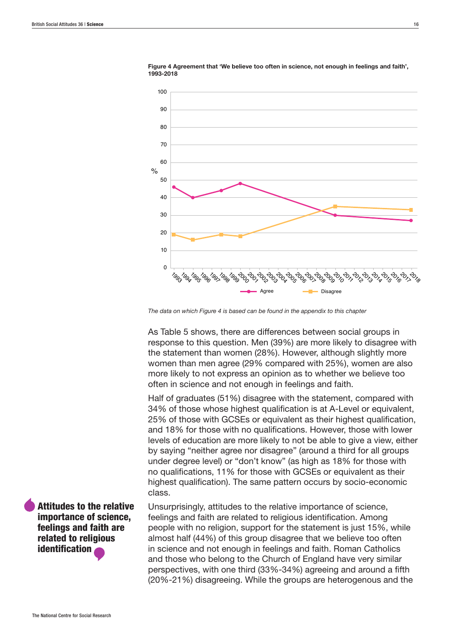

Figure 4 Agreement that 'We believe too often in science, not enough in feelings and faith', 1993-2018

*The data on which Figure 4 is based can be found in the appendix to this chapter*

As Table 5 shows, there are differences between social groups in response to this question. Men (39%) are more likely to disagree with the statement than women (28%). However, although slightly more women than men agree (29% compared with 25%), women are also more likely to not express an opinion as to whether we believe too often in science and not enough in feelings and faith.

Half of graduates (51%) disagree with the statement, compared with 34% of those whose highest qualification is at A-Level or equivalent, 25% of those with GCSEs or equivalent as their highest qualification. and 18% for those with no qualifications. However, those with lower levels of education are more likely to not be able to give a view, either by saying "neither agree nor disagree" (around a third for all groups under degree level) or "don't know" (as high as 18% for those with no qualifications, 11% for those with GCSEs or equivalent as their highest qualification). The same pattern occurs by socio-economic class.

Unsurprisingly, attitudes to the relative importance of science, feelings and faith are related to religious identification. Among people with no religion, support for the statement is just 15%, while almost half (44%) of this group disagree that we believe too often in science and not enough in feelings and faith. Roman Catholics and those who belong to the Church of England have very similar perspectives, with one third (33%-34%) agreeing and around a fifth (20%-21%) disagreeing. While the groups are heterogenous and the

Attitudes to the relative importance of science, feelings and faith are related to religious identification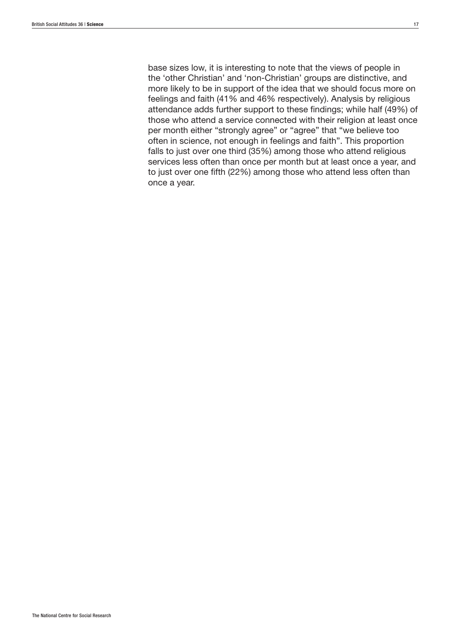base sizes low, it is interesting to note that the views of people in the 'other Christian' and 'non-Christian' groups are distinctive, and more likely to be in support of the idea that we should focus more on feelings and faith (41% and 46% respectively). Analysis by religious attendance adds further support to these findings; while half (49%) of those who attend a service connected with their religion at least once per month either "strongly agree" or "agree" that "we believe too often in science, not enough in feelings and faith". This proportion falls to just over one third (35%) among those who attend religious services less often than once per month but at least once a year, and to just over one fifth (22%) among those who attend less often than once a year.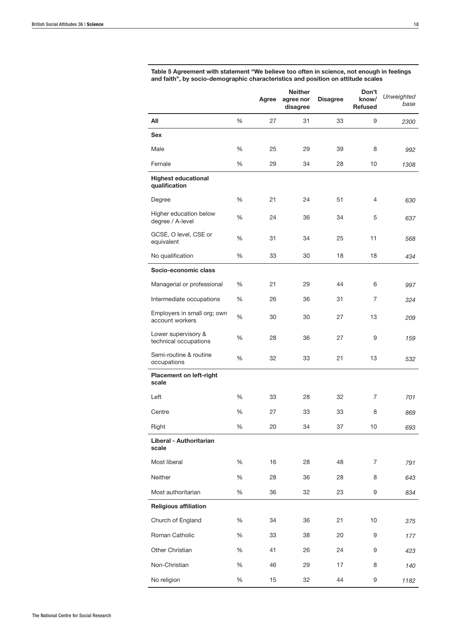|                                                |      | Agree | <b>Neither</b><br>agree nor<br>disagree | <b>Disagree</b> | Don't<br>know/<br>Refused | Unweighted<br>base |
|------------------------------------------------|------|-------|-----------------------------------------|-----------------|---------------------------|--------------------|
| All                                            | $\%$ | 27    | 31                                      | 33              | 9                         | 2300               |
| Sex                                            |      |       |                                         |                 |                           |                    |
| Male                                           | %    | 25    | 29                                      | 39              | 8                         | 992                |
| Female                                         | %    | 29    | 34                                      | 28              | 10                        | 1308               |
| <b>Highest educational</b><br>qualification    |      |       |                                         |                 |                           |                    |
| Degree                                         | %    | 21    | 24                                      | 51              | 4                         | 630                |
| Higher education below<br>degree / A-level     | %    | 24    | 36                                      | 34              | 5                         | 637                |
| GCSE, O level, CSE or<br>equivalent            | %    | 31    | 34                                      | 25              | 11                        | 568                |
| No qualification                               | %    | 33    | 30                                      | 18              | 18                        | 434                |
| Socio-economic class                           |      |       |                                         |                 |                           |                    |
| Managerial or professional                     | %    | 21    | 29                                      | 44              | 6                         | 997                |
| Intermediate occupations                       | %    | 26    | 36                                      | 31              | 7                         | 324                |
| Employers in small org; own<br>account workers | %    | 30    | 30                                      | 27              | 13                        | 209                |
| Lower supervisory &<br>technical occupations   | %    | 28    | 36                                      | 27              | 9                         | 159                |
| Semi-routine & routine<br>occupations          | %    | 32    | 33                                      | 21              | 13                        | 532                |
| <b>Placement on left-right</b><br>scale        |      |       |                                         |                 |                           |                    |
| Left                                           | %    | 33    | 28                                      | 32              | 7                         | 701                |
| Centre                                         | %    | 27    | 33                                      | 33              | 8                         | 869                |
| Right                                          | $\%$ | 20    | 34                                      | 37              | 10                        | 693                |
| Liberal - Authoritarian<br>scale               |      |       |                                         |                 |                           |                    |
| Most liberal                                   | %    | 16    | 28                                      | 48              | 7                         | 791                |
| Neither                                        | %    | 28    | 36                                      | 28              | 8                         | 643                |
| Most authoritarian                             | $\%$ | 36    | 32                                      | 23              | 9                         | 834                |
| <b>Religious affiliation</b>                   |      |       |                                         |                 |                           |                    |
| Church of England                              | $\%$ | 34    | 36                                      | 21              | 10                        | 375                |
| Roman Catholic                                 | %    | 33    | 38                                      | 20              | 9                         | 177                |
| Other Christian                                | %    | 41    | 26                                      | 24              | 9                         | 423                |
| Non-Christian                                  | $\%$ | 46    | 29                                      | 17              | 8                         | 140                |
| No religion                                    | $\%$ | 15    | 32                                      | 44              | 9                         | 1182               |

Table 5 Agreement with statement "We believe too often in science, not enough in feelings and faith", by socio-demographic characteristics and position on attitude scales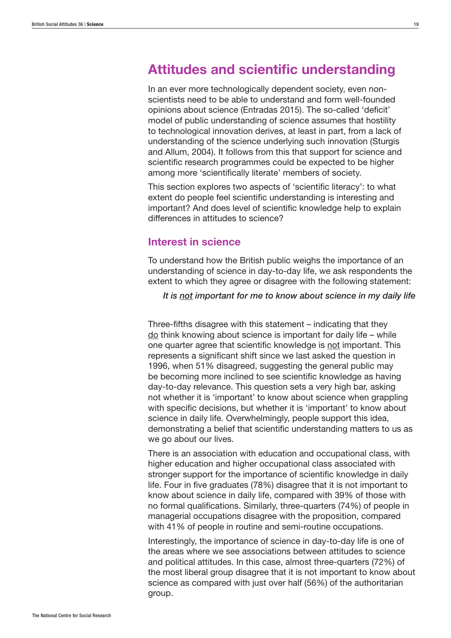# Attitudes and scientific understanding

In an ever more technologically dependent society, even nonscientists need to be able to understand and form well-founded opinions about science (Entradas 2015). The so-called 'deficit' model of public understanding of science assumes that hostility to technological innovation derives, at least in part, from a lack of understanding of the science underlying such innovation (Sturgis and Allum, 2004). It follows from this that support for science and scientific research programmes could be expected to be higher among more 'scientifically literate' members of society.

This section explores two aspects of 'scientific literacy': to what extent do people feel scientific understanding is interesting and important? And does level of scientific knowledge help to explain differences in attitudes to science?

## Interest in science

To understand how the British public weighs the importance of an understanding of science in day-to-day life, we ask respondents the extent to which they agree or disagree with the following statement:

*It is not important for me to know about science in my daily life*

Three-fifths disagree with this statement – indicating that they do think knowing about science is important for daily life – while one quarter agree that scientific knowledge is not important. This represents a significant shift since we last asked the question in 1996, when 51% disagreed, suggesting the general public may be becoming more inclined to see scientific knowledge as having day-to-day relevance. This question sets a very high bar, asking not whether it is 'important' to know about science when grappling with specific decisions, but whether it is 'important' to know about science in daily life. Overwhelmingly, people support this idea, demonstrating a belief that scientific understanding matters to us as we go about our lives.

There is an association with education and occupational class, with higher education and higher occupational class associated with stronger support for the importance of scientific knowledge in daily life. Four in five graduates (78%) disagree that it is not important to know about science in daily life, compared with 39% of those with no formal qualifications. Similarly, three-quarters (74%) of people in managerial occupations disagree with the proposition, compared with 41% of people in routine and semi-routine occupations.

Interestingly, the importance of science in day-to-day life is one of the areas where we see associations between attitudes to science and political attitudes. In this case, almost three-quarters (72%) of the most liberal group disagree that it is not important to know about science as compared with just over half (56%) of the authoritarian group.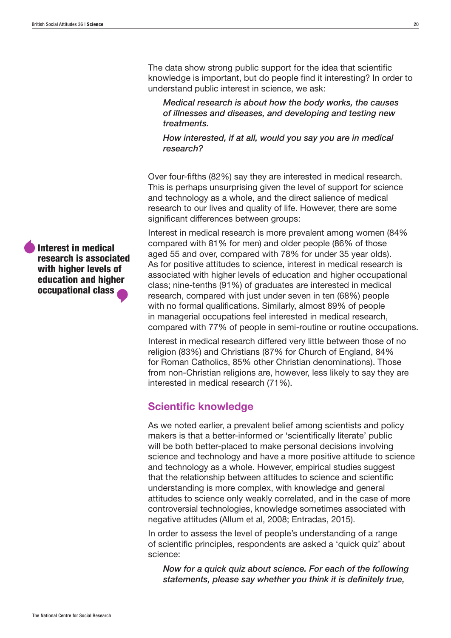The data show strong public support for the idea that scientific knowledge is important, but do people find it interesting? In order to understand public interest in science, we ask:

*Medical research is about how the body works, the causes of illnesses and diseases, and developing and testing new treatments.*

*How interested, if at all, would you say you are in medical research?* 

Over four-fifths (82%) say they are interested in medical research. This is perhaps unsurprising given the level of support for science and technology as a whole, and the direct salience of medical research to our lives and quality of life. However, there are some significant differences between groups:

Interest in medical research is more prevalent among women (84% compared with 81% for men) and older people (86% of those aged 55 and over, compared with 78% for under 35 year olds). As for positive attitudes to science, interest in medical research is associated with higher levels of education and higher occupational class; nine-tenths (91%) of graduates are interested in medical research, compared with just under seven in ten (68%) people with no formal qualifications. Similarly, almost 89% of people in managerial occupations feel interested in medical research, compared with 77% of people in semi-routine or routine occupations.

Interest in medical research differed very little between those of no religion (83%) and Christians (87% for Church of England, 84% for Roman Catholics, 85% other Christian denominations). Those from non-Christian religions are, however, less likely to say they are interested in medical research (71%).

## Scientific knowledge

As we noted earlier, a prevalent belief among scientists and policy makers is that a better-informed or 'scientifically literate' public will be both better-placed to make personal decisions involving science and technology and have a more positive attitude to science and technology as a whole. However, empirical studies suggest that the relationship between attitudes to science and scientific understanding is more complex, with knowledge and general attitudes to science only weakly correlated, and in the case of more controversial technologies, knowledge sometimes associated with negative attitudes (Allum et al, 2008; Entradas, 2015).

In order to assess the level of people's understanding of a range of scientific principles, respondents are asked a 'quick quiz' about science:

*Now for a quick quiz about science. For each of the following statements, please say whether you think it is definitely true,* 

Interest in medical research is associated with higher levels of education and higher occupational class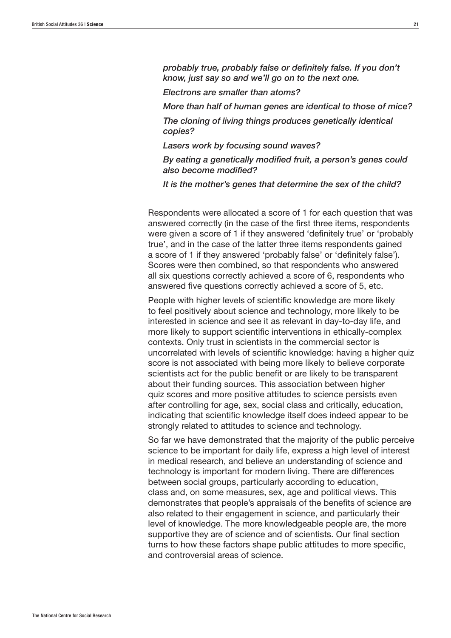*probably true, probably false or definitely false. If you don't know, just say so and we'll go on to the next one.*

*Electrons are smaller than atoms?*

*More than half of human genes are identical to those of mice?*

*The cloning of living things produces genetically identical copies?*

*Lasers work by focusing sound waves?*

*By eating a genetically modified fruit, a person's genes could also become modified?*

*It is the mother's genes that determine the sex of the child?*

Respondents were allocated a score of 1 for each question that was answered correctly (in the case of the first three items, respondents were given a score of 1 if they answered 'definitely true' or 'probably true', and in the case of the latter three items respondents gained a score of 1 if they answered 'probably false' or 'definitely false'). Scores were then combined, so that respondents who answered all six questions correctly achieved a score of 6, respondents who answered five questions correctly achieved a score of 5, etc.

People with higher levels of scientific knowledge are more likely to feel positively about science and technology, more likely to be interested in science and see it as relevant in day-to-day life, and more likely to support scientific interventions in ethically-complex contexts. Only trust in scientists in the commercial sector is uncorrelated with levels of scientific knowledge: having a higher quiz score is not associated with being more likely to believe corporate scientists act for the public benefit or are likely to be transparent about their funding sources. This association between higher quiz scores and more positive attitudes to science persists even after controlling for age, sex, social class and critically, education, indicating that scientific knowledge itself does indeed appear to be strongly related to attitudes to science and technology.

So far we have demonstrated that the majority of the public perceive science to be important for daily life, express a high level of interest in medical research, and believe an understanding of science and technology is important for modern living. There are differences between social groups, particularly according to education, class and, on some measures, sex, age and political views. This demonstrates that people's appraisals of the benefits of science are also related to their engagement in science, and particularly their level of knowledge. The more knowledgeable people are, the more supportive they are of science and of scientists. Our final section turns to how these factors shape public attitudes to more specific, and controversial areas of science.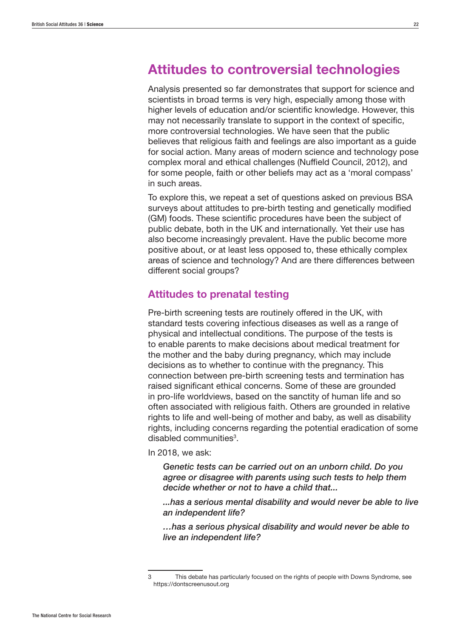# Attitudes to controversial technologies

Analysis presented so far demonstrates that support for science and scientists in broad terms is very high, especially among those with higher levels of education and/or scientific knowledge. However, this may not necessarily translate to support in the context of specific, more controversial technologies. We have seen that the public believes that religious faith and feelings are also important as a guide for social action. Many areas of modern science and technology pose complex moral and ethical challenges (Nuffield Council, 2012), and for some people, faith or other beliefs may act as a 'moral compass' in such areas.

To explore this, we repeat a set of questions asked on previous BSA surveys about attitudes to pre-birth testing and genetically modified (GM) foods. These scientific procedures have been the subject of public debate, both in the UK and internationally. Yet their use has also become increasingly prevalent. Have the public become more positive about, or at least less opposed to, these ethically complex areas of science and technology? And are there differences between different social groups?

## Attitudes to prenatal testing

Pre-birth screening tests are routinely offered in the UK, with standard tests covering infectious diseases as well as a range of physical and intellectual conditions. The purpose of the tests is to enable parents to make decisions about medical treatment for the mother and the baby during pregnancy, which may include decisions as to whether to continue with the pregnancy. This connection between pre-birth screening tests and termination has raised significant ethical concerns. Some of these are grounded in pro-life worldviews, based on the sanctity of human life and so often associated with religious faith. Others are grounded in relative rights to life and well-being of mother and baby, as well as disability rights, including concerns regarding the potential eradication of some disabled communities<sup>3</sup>.

In 2018, we ask:

*Genetic tests can be carried out on an unborn child. Do you agree or disagree with parents using such tests to help them decide whether or not to have a child that...*

*...has a serious mental disability and would never be able to live an independent life?*

*…has a serious physical disability and would never be able to live an independent life?*

<sup>3</sup> This debate has particularly focused on the rights of people with Downs Syndrome, see https://dontscreenusout.org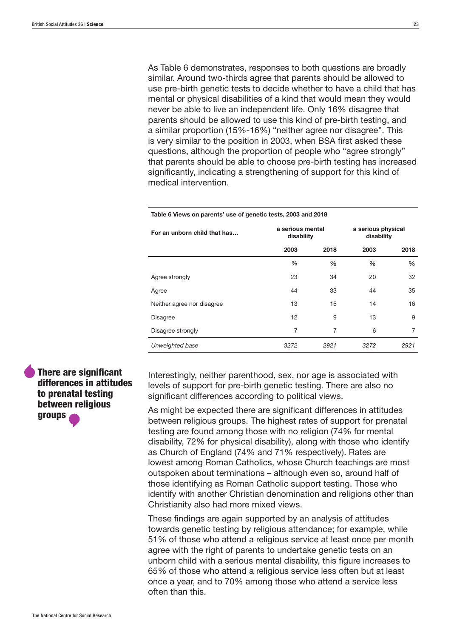As Table 6 demonstrates, responses to both questions are broadly similar. Around two-thirds agree that parents should be allowed to use pre-birth genetic tests to decide whether to have a child that has mental or physical disabilities of a kind that would mean they would never be able to live an independent life. Only 16% disagree that parents should be allowed to use this kind of pre-birth testing, and a similar proportion (15%-16%) "neither agree nor disagree". This is very similar to the position in 2003, when BSA first asked these questions, although the proportion of people who "agree strongly" that parents should be able to choose pre-birth testing has increased significantly, indicating a strengthening of support for this kind of medical intervention.

| For an unborn child that has | a serious mental<br>disability |      | a serious physical<br>disability |      |  |
|------------------------------|--------------------------------|------|----------------------------------|------|--|
|                              | 2003                           | 2018 | 2003                             | 2018 |  |
|                              | $\%$                           | %    | %                                | $\%$ |  |
| Agree strongly               | 23                             | 34   | 20                               | 32   |  |
| Agree                        | 44                             | 33   | 44                               | 35   |  |
| Neither agree nor disagree   | 13                             | 15   | 14                               | 16   |  |
| <b>Disagree</b>              | 12                             | 9    | 13                               | 9    |  |
| Disagree strongly            | 7                              | 7    | 6                                | 7    |  |
| Unweighted base              | 3272                           | 2921 | 3272                             | 2921 |  |

#### Table 6 Views on parents' use of genetic tests, 2003 and 2018

There are significant differences in attitudes to prenatal testing between religious groups

Interestingly, neither parenthood, sex, nor age is associated with levels of support for pre-birth genetic testing. There are also no significant differences according to political views.

As might be expected there are significant differences in attitudes between religious groups. The highest rates of support for prenatal testing are found among those with no religion (74% for mental disability, 72% for physical disability), along with those who identify as Church of England (74% and 71% respectively). Rates are lowest among Roman Catholics, whose Church teachings are most outspoken about terminations – although even so, around half of those identifying as Roman Catholic support testing. Those who identify with another Christian denomination and religions other than Christianity also had more mixed views.

These findings are again supported by an analysis of attitudes towards genetic testing by religious attendance; for example, while 51% of those who attend a religious service at least once per month agree with the right of parents to undertake genetic tests on an unborn child with a serious mental disability, this figure increases to 65% of those who attend a religious service less often but at least once a year, and to 70% among those who attend a service less often than this.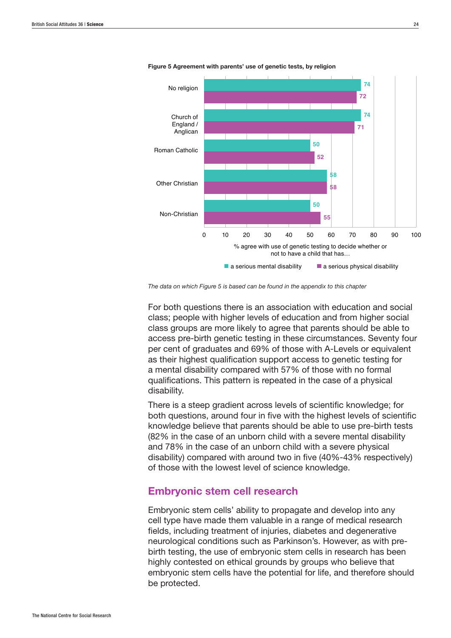

Figure 5 Agreement with parents' use of genetic tests, by religion

*The data on which Figure 5 is based can be found in the appendix to this chapter*

For both questions there is an association with education and social class; people with higher levels of education and from higher social class groups are more likely to agree that parents should be able to access pre-birth genetic testing in these circumstances. Seventy four per cent of graduates and 69% of those with A-Levels or equivalent as their highest qualification support access to genetic testing for a mental disability compared with 57% of those with no formal qualifications. This pattern is repeated in the case of a physical disability.

There is a steep gradient across levels of scientific knowledge; for both questions, around four in five with the highest levels of scientific knowledge believe that parents should be able to use pre-birth tests (82% in the case of an unborn child with a severe mental disability and 78% in the case of an unborn child with a severe physical disability) compared with around two in five (40%-43% respectively) of those with the lowest level of science knowledge.

## Embryonic stem cell research

Embryonic stem cells' ability to propagate and develop into any cell type have made them valuable in a range of medical research fields, including treatment of injuries, diabetes and degenerative neurological conditions such as Parkinson's. However, as with prebirth testing, the use of embryonic stem cells in research has been highly contested on ethical grounds by groups who believe that embryonic stem cells have the potential for life, and therefore should be protected.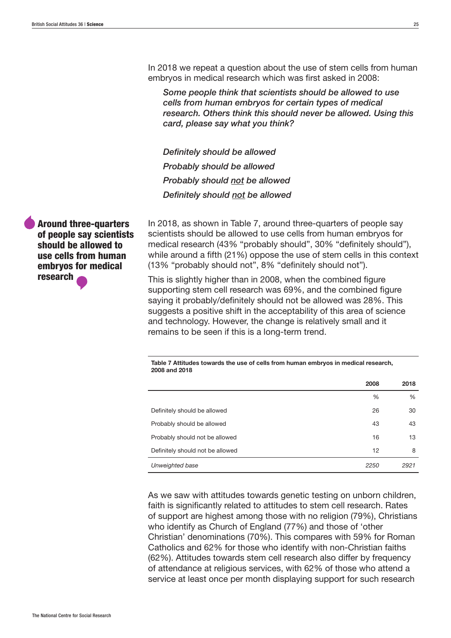In 2018 we repeat a question about the use of stem cells from human embryos in medical research which was first asked in 2008:

*Some people think that scientists should be allowed to use cells from human embryos for certain types of medical research. Others think this should never be allowed. Using this card, please say what you think?*

*Definitely should be allowed Probably should be allowed Probably should not be allowed Definitely should not be allowed*

Around three-quarters of people say scientists should be allowed to use cells from human embryos for medical research

In 2018, as shown in Table 7, around three-quarters of people say scientists should be allowed to use cells from human embryos for medical research (43% "probably should", 30% "definitely should"), while around a fifth (21%) oppose the use of stem cells in this context (13% "probably should not", 8% "definitely should not").

This is slightly higher than in 2008, when the combined figure supporting stem cell research was 69%, and the combined figure saying it probably/definitely should not be allowed was 28%. This suggests a positive shift in the acceptability of this area of science and technology. However, the change is relatively small and it remains to be seen if this is a long-term trend.

Table 7 Attitudes towards the use of cells from human embryos in medical research, 2008 and 2018

|                                  | 2008 | 2018 |
|----------------------------------|------|------|
|                                  | %    | %    |
| Definitely should be allowed     | 26   | 30   |
| Probably should be allowed       | 43   | 43   |
| Probably should not be allowed   | 16   | 13   |
| Definitely should not be allowed | 12   | 8    |
| Unweighted base                  | 2250 | 2921 |

As we saw with attitudes towards genetic testing on unborn children, faith is significantly related to attitudes to stem cell research. Rates of support are highest among those with no religion (79%), Christians who identify as Church of England (77%) and those of 'other Christian' denominations (70%). This compares with 59% for Roman Catholics and 62% for those who identify with non-Christian faiths (62%). Attitudes towards stem cell research also differ by frequency of attendance at religious services, with 62% of those who attend a service at least once per month displaying support for such research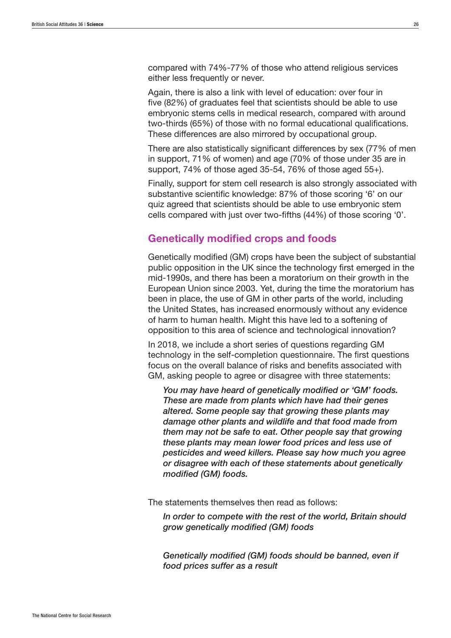compared with 74%-77% of those who attend religious services either less frequently or never.

Again, there is also a link with level of education: over four in five (82%) of graduates feel that scientists should be able to use embryonic stems cells in medical research, compared with around two-thirds (65%) of those with no formal educational qualifications. These differences are also mirrored by occupational group.

There are also statistically significant differences by sex (77% of men in support, 71% of women) and age (70% of those under 35 are in support, 74% of those aged 35-54, 76% of those aged 55+).

Finally, support for stem cell research is also strongly associated with substantive scientific knowledge: 87% of those scoring '6' on our quiz agreed that scientists should be able to use embryonic stem cells compared with just over two-fifths (44%) of those scoring '0'.

## Genetically modified crops and foods

Genetically modified (GM) crops have been the subject of substantial public opposition in the UK since the technology first emerged in the mid-1990s, and there has been a moratorium on their growth in the European Union since 2003. Yet, during the time the moratorium has been in place, the use of GM in other parts of the world, including the United States, has increased enormously without any evidence of harm to human health. Might this have led to a softening of opposition to this area of science and technological innovation?

In 2018, we include a short series of questions regarding GM technology in the self-completion questionnaire. The first questions focus on the overall balance of risks and benefits associated with GM, asking people to agree or disagree with three statements:

*You may have heard of genetically modified or 'GM' foods. These are made from plants which have had their genes altered. Some people say that growing these plants may damage other plants and wildlife and that food made from them may not be safe to eat. Other people say that growing these plants may mean lower food prices and less use of pesticides and weed killers. Please say how much you agree or disagree with each of these statements about genetically modified (GM) foods.*

The statements themselves then read as follows:

*In order to compete with the rest of the world, Britain should grow genetically modified (GM) foods*

*Genetically modified (GM) foods should be banned, even if food prices suffer as a result*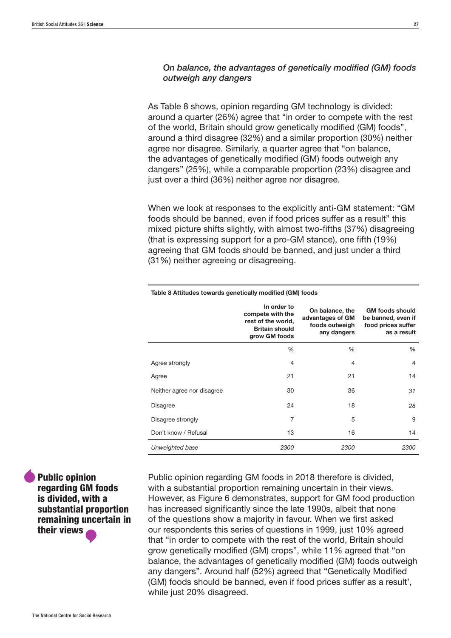## *On balance, the advantages of genetically modified (GM) foods outweigh any dangers*

As Table 8 shows, opinion regarding GM technology is divided: around a quarter (26%) agree that "in order to compete with the rest of the world, Britain should grow genetically modified (GM) foods", around a third disagree (32%) and a similar proportion (30%) neither agree nor disagree. Similarly, a quarter agree that "on balance, the advantages of genetically modified (GM) foods outweigh any dangers" (25%), while a comparable proportion (23%) disagree and just over a third (36%) neither agree nor disagree.

When we look at responses to the explicitly anti-GM statement: "GM foods should be banned, even if food prices suffer as a result" this mixed picture shifts slightly, with almost two-fifths (37%) disagreeing (that is expressing support for a pro-GM stance), one fifth (19%) agreeing that GM foods should be banned, and just under a third (31%) neither agreeing or disagreeing.

|                            | In order to<br>compete with the<br>rest of the world,<br><b>Britain should</b><br>grow GM foods | On balance, the<br>advantages of GM<br>foods outweigh<br>any dangers | <b>GM foods should</b><br>be banned, even if<br>food prices suffer<br>as a result |
|----------------------------|-------------------------------------------------------------------------------------------------|----------------------------------------------------------------------|-----------------------------------------------------------------------------------|
|                            | %                                                                                               | $\%$                                                                 | %                                                                                 |
| Agree strongly             | $\overline{4}$                                                                                  | 4                                                                    | $\overline{4}$                                                                    |
| Agree                      | 21                                                                                              | 21                                                                   | 14                                                                                |
| Neither agree nor disagree | 30                                                                                              | 36                                                                   | 31                                                                                |
| Disagree                   | 24                                                                                              | 18                                                                   | 28                                                                                |
| Disagree strongly          | $\overline{7}$                                                                                  | 5                                                                    | 9                                                                                 |
| Don't know / Refusal       | 13                                                                                              | 16                                                                   | 14                                                                                |
| Unweighted base            | 2300                                                                                            | 2300                                                                 | 2300                                                                              |

#### Table 8 Attitudes towards genetically modified (GM) foods

Public opinion regarding GM foods is divided, with a substantial proportion remaining uncertain in their views

Public opinion regarding GM foods in 2018 therefore is divided, with a substantial proportion remaining uncertain in their views. However, as Figure 6 demonstrates, support for GM food production has increased significantly since the late 1990s, albeit that none of the questions show a majority in favour. When we first asked our respondents this series of questions in 1999, just 10% agreed that "in order to compete with the rest of the world, Britain should grow genetically modified (GM) crops", while 11% agreed that "on balance, the advantages of genetically modified (GM) foods outweigh any dangers". Around half (52%) agreed that "Genetically Modified (GM) foods should be banned, even if food prices suffer as a result', while just 20% disagreed.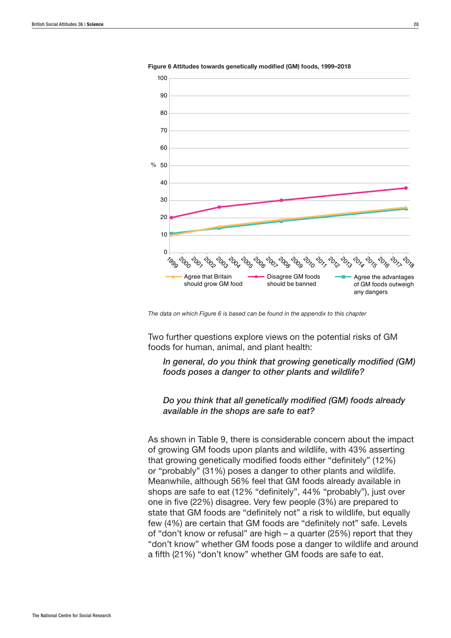

Figure 6 Attitudes towards genetically modified (GM) foods, 1999–2018

*The data on which Figure 6 is based can be found in the appendix to this chapter*

Two further questions explore views on the potential risks of GM foods for human, animal, and plant health:

*In general, do you think that growing genetically modified (GM) foods poses a danger to other plants and wildlife?* 

*Do you think that all genetically modified (GM) foods already available in the shops are safe to eat?* 

As shown in Table 9, there is considerable concern about the impact of growing GM foods upon plants and wildlife, with 43% asserting that growing genetically modified foods either "definitely" (12%) or "probably" (31%) poses a danger to other plants and wildlife. Meanwhile, although 56% feel that GM foods already available in shops are safe to eat (12% "definitely", 44% "probably"), just over one in five (22%) disagree. Very few people (3%) are prepared to state that GM foods are "definitely not" a risk to wildlife, but equally few (4%) are certain that GM foods are "definitely not" safe. Levels of "don't know or refusal" are high – a quarter (25%) report that they "don't know" whether GM foods pose a danger to wildlife and around a fifth (21%) "don't know" whether GM foods are safe to eat.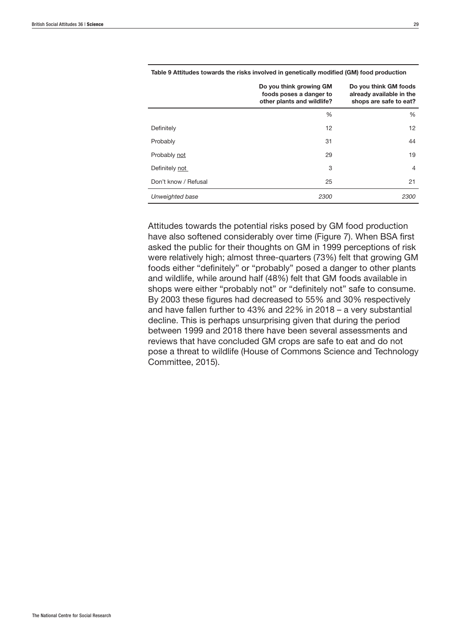|                      | Do you think growing GM<br>foods poses a danger to<br>other plants and wildlife? | Do you think GM foods<br>already available in the<br>shops are safe to eat? |
|----------------------|----------------------------------------------------------------------------------|-----------------------------------------------------------------------------|
|                      | $\%$                                                                             | %                                                                           |
| Definitely           | 12                                                                               | 12                                                                          |
| Probably             | 31                                                                               | 44                                                                          |
| Probably not         | 29                                                                               | 19                                                                          |
| Definitely not       | 3                                                                                | $\overline{4}$                                                              |
| Don't know / Refusal | 25                                                                               | 21                                                                          |
| Unweighted base      | 2300                                                                             | 2300                                                                        |

Table 9 Attitudes towards the risks involved in genetically modified (GM) food production

Attitudes towards the potential risks posed by GM food production have also softened considerably over time (Figure 7). When BSA first asked the public for their thoughts on GM in 1999 perceptions of risk were relatively high; almost three-quarters (73%) felt that growing GM foods either "definitely" or "probably" posed a danger to other plants and wildlife, while around half (48%) felt that GM foods available in shops were either "probably not" or "definitely not" safe to consume. By 2003 these figures had decreased to 55% and 30% respectively and have fallen further to 43% and 22% in 2018 – a very substantial decline. This is perhaps unsurprising given that during the period between 1999 and 2018 there have been several assessments and reviews that have concluded GM crops are safe to eat and do not pose a threat to wildlife (House of Commons Science and Technology Committee, 2015).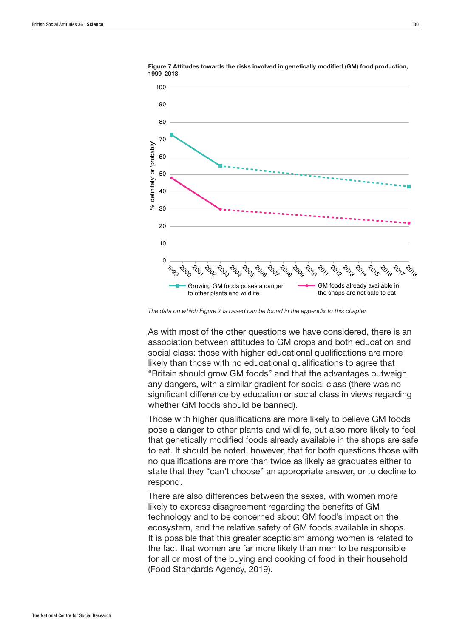

Figure 7 Attitudes towards the risks involved in genetically modified (GM) food production, 1999–2018

*The data on which Figure 7 is based can be found in the appendix to this chapter*

As with most of the other questions we have considered, there is an association between attitudes to GM crops and both education and social class: those with higher educational qualifications are more likely than those with no educational qualifications to agree that "Britain should grow GM foods" and that the advantages outweigh any dangers, with a similar gradient for social class (there was no significant difference by education or social class in views regarding whether GM foods should be banned).

Those with higher qualifications are more likely to believe GM foods pose a danger to other plants and wildlife, but also more likely to feel that genetically modified foods already available in the shops are safe to eat. It should be noted, however, that for both questions those with no qualifications are more than twice as likely as graduates either to state that they "can't choose" an appropriate answer, or to decline to respond.

There are also differences between the sexes, with women more likely to express disagreement regarding the benefits of GM technology and to be concerned about GM food's impact on the ecosystem, and the relative safety of GM foods available in shops. It is possible that this greater scepticism among women is related to the fact that women are far more likely than men to be responsible for all or most of the buying and cooking of food in their household (Food Standards Agency, 2019).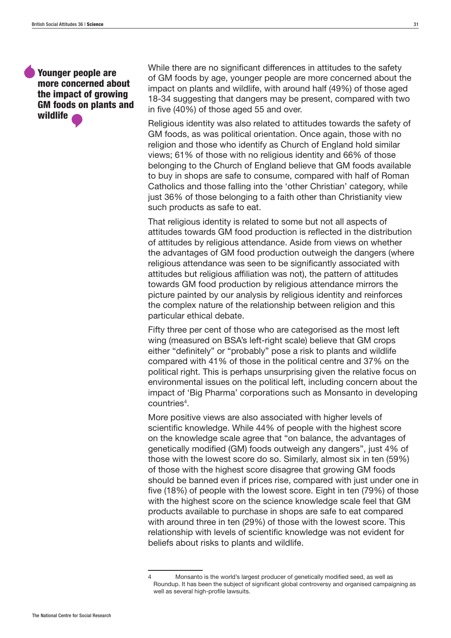## Younger people are more concerned about the impact of growing GM foods on plants and wildlife

While there are no significant differences in attitudes to the safety of GM foods by age, younger people are more concerned about the impact on plants and wildlife, with around half (49%) of those aged 18-34 suggesting that dangers may be present, compared with two in five (40%) of those aged 55 and over.

Religious identity was also related to attitudes towards the safety of GM foods, as was political orientation. Once again, those with no religion and those who identify as Church of England hold similar views; 61% of those with no religious identity and 66% of those belonging to the Church of England believe that GM foods available to buy in shops are safe to consume, compared with half of Roman Catholics and those falling into the 'other Christian' category, while just 36% of those belonging to a faith other than Christianity view such products as safe to eat.

That religious identity is related to some but not all aspects of attitudes towards GM food production is reflected in the distribution of attitudes by religious attendance. Aside from views on whether the advantages of GM food production outweigh the dangers (where religious attendance was seen to be significantly associated with attitudes but religious affiliation was not), the pattern of attitudes towards GM food production by religious attendance mirrors the picture painted by our analysis by religious identity and reinforces the complex nature of the relationship between religion and this particular ethical debate.

Fifty three per cent of those who are categorised as the most left wing (measured on BSA's left-right scale) believe that GM crops either "definitely" or "probably" pose a risk to plants and wildlife compared with 41% of those in the political centre and 37% on the political right. This is perhaps unsurprising given the relative focus on environmental issues on the political left, including concern about the impact of 'Big Pharma' corporations such as Monsanto in developing countries<sup>4</sup>.

More positive views are also associated with higher levels of scientific knowledge. While 44% of people with the highest score on the knowledge scale agree that "on balance, the advantages of genetically modified (GM) foods outweigh any dangers", just 4% of those with the lowest score do so. Similarly, almost six in ten (59%) of those with the highest score disagree that growing GM foods should be banned even if prices rise, compared with just under one in five (18%) of people with the lowest score. Eight in ten (79%) of those with the highest score on the science knowledge scale feel that GM products available to purchase in shops are safe to eat compared with around three in ten (29%) of those with the lowest score. This relationship with levels of scientific knowledge was not evident for beliefs about risks to plants and wildlife.

<sup>4</sup> Monsanto is the world's largest producer of genetically modified seed, as well as Roundup. It has been the subject of significant global controversy and organised campaigning as well as several high-profile lawsuits.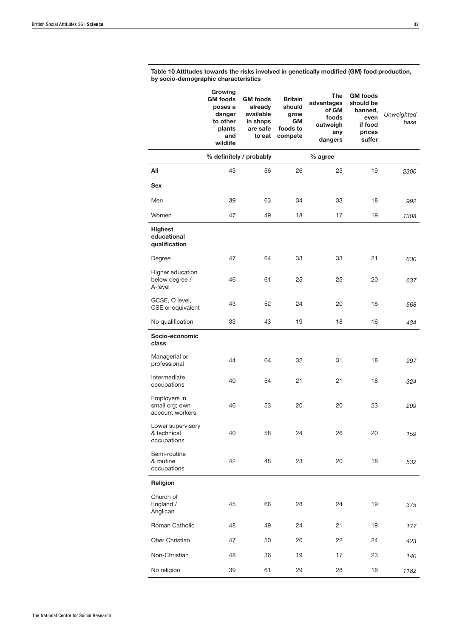Table 10 Attitudes towards the risks involved in genetically modified (GM) food production, by socio-demographic characteristics

|                                                   | Growing<br><b>GM</b> foods<br>poses a<br>danger<br>to other<br>plants<br>and<br>wildlife | <b>GM</b> foods<br>already<br>available<br>in shops<br>are safe<br>to eat | <b>Britain</b><br>should<br>grow<br>GM<br>foods to<br>compete | The<br>advantages<br>of GM<br>foods<br>outweigh<br>any<br>dangers | <b>GM</b> foods<br>should be<br>banned,<br>even<br>if food<br>prices<br>suffer | Unweighted<br>base |
|---------------------------------------------------|------------------------------------------------------------------------------------------|---------------------------------------------------------------------------|---------------------------------------------------------------|-------------------------------------------------------------------|--------------------------------------------------------------------------------|--------------------|
|                                                   | % definitely / probably                                                                  |                                                                           |                                                               | % agree                                                           |                                                                                |                    |
| All                                               | 43                                                                                       | 56                                                                        | 26                                                            | 25                                                                | 19                                                                             | 2300               |
| <b>Sex</b>                                        |                                                                                          |                                                                           |                                                               |                                                                   |                                                                                |                    |
| Men                                               | 39                                                                                       | 63                                                                        | 34                                                            | 33                                                                | 18                                                                             | 992                |
| Women                                             | 47                                                                                       | 49                                                                        | 18                                                            | 17                                                                | 19                                                                             | 1308               |
| <b>Highest</b><br>educational<br>qualification    |                                                                                          |                                                                           |                                                               |                                                                   |                                                                                |                    |
| Degree                                            | 47                                                                                       | 64                                                                        | 33                                                            | 33                                                                | 21                                                                             | 630                |
| Higher education<br>below degree /<br>A-level     | 46                                                                                       | 61                                                                        | 25                                                            | 25                                                                | 20                                                                             | 637                |
| GCSE, O level,<br>CSE or equivalent               | 43                                                                                       | 52                                                                        | 24                                                            | 20                                                                | 16                                                                             | 568                |
| No qualification                                  | 33                                                                                       | 43                                                                        | 19                                                            | 18                                                                | 16                                                                             | 434                |
| Socio-economic<br>class                           |                                                                                          |                                                                           |                                                               |                                                                   |                                                                                |                    |
| Managerial or<br>professional                     | 44                                                                                       | 64                                                                        | 32                                                            | 31                                                                | 18                                                                             | 997                |
| Intermediate<br>occupations                       | 40                                                                                       | 54                                                                        | 21                                                            | 21                                                                | 18                                                                             | 324                |
| Employers in<br>small org; own<br>account workers | 46                                                                                       | 53                                                                        | 20                                                            | 20                                                                | 23                                                                             | 209                |
| Lower supervisory<br>& technical<br>occupations   | 40                                                                                       | 58                                                                        | 24                                                            | 26                                                                | 20                                                                             | 159                |
| Semi-routine<br>& routine<br>occupations          | 42                                                                                       | 48                                                                        | 23                                                            | 20                                                                | 18                                                                             | 532                |
| Religion                                          |                                                                                          |                                                                           |                                                               |                                                                   |                                                                                |                    |
| Church of<br>England /<br>Anglican                | 45                                                                                       | 66                                                                        | 28                                                            | 24                                                                | 19                                                                             | 375                |
| Roman Catholic                                    | 48                                                                                       | 49                                                                        | 24                                                            | 21                                                                | 19                                                                             | 177                |
| Oher Christian                                    | 47                                                                                       | 50                                                                        | 20                                                            | 22                                                                | 24                                                                             | 423                |
| Non-Christian                                     | 48                                                                                       | 36                                                                        | 19                                                            | 17                                                                | 23                                                                             | 140                |
| No religion                                       | 39                                                                                       | 61                                                                        | 29                                                            | 28                                                                | 16                                                                             | 1182               |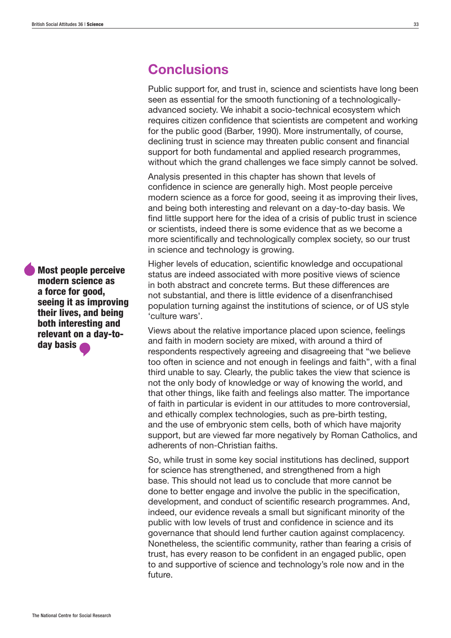# **Conclusions**

Public support for, and trust in, science and scientists have long been seen as essential for the smooth functioning of a technologicallyadvanced society. We inhabit a socio-technical ecosystem which requires citizen confidence that scientists are competent and working for the public good (Barber, 1990). More instrumentally, of course, declining trust in science may threaten public consent and financial support for both fundamental and applied research programmes, without which the grand challenges we face simply cannot be solved.

Analysis presented in this chapter has shown that levels of confidence in science are generally high. Most people perceive modern science as a force for good, seeing it as improving their lives, and being both interesting and relevant on a day-to-day basis. We find little support here for the idea of a crisis of public trust in science or scientists, indeed there is some evidence that as we become a more scientifically and technologically complex society, so our trust in science and technology is growing.

Higher levels of education, scientific knowledge and occupational status are indeed associated with more positive views of science in both abstract and concrete terms. But these differences are not substantial, and there is little evidence of a disenfranchised population turning against the institutions of science, or of US style 'culture wars'.

Views about the relative importance placed upon science, feelings and faith in modern society are mixed, with around a third of respondents respectively agreeing and disagreeing that "we believe too often in science and not enough in feelings and faith", with a final third unable to say. Clearly, the public takes the view that science is not the only body of knowledge or way of knowing the world, and that other things, like faith and feelings also matter. The importance of faith in particular is evident in our attitudes to more controversial, and ethically complex technologies, such as pre-birth testing, and the use of embryonic stem cells, both of which have majority support, but are viewed far more negatively by Roman Catholics, and adherents of non-Christian faiths.

So, while trust in some key social institutions has declined, support for science has strengthened, and strengthened from a high base. This should not lead us to conclude that more cannot be done to better engage and involve the public in the specification, development, and conduct of scientific research programmes. And, indeed, our evidence reveals a small but significant minority of the public with low levels of trust and confidence in science and its governance that should lend further caution against complacency. Nonetheless, the scientific community, rather than fearing a crisis of trust, has every reason to be confident in an engaged public, open to and supportive of science and technology's role now and in the future.

Most people perceive modern science as a force for good, seeing it as improving their lives, and being both interesting and relevant on a day-today basis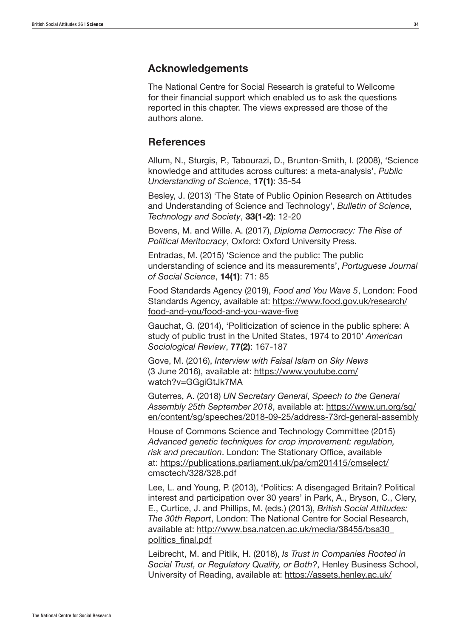## Acknowledgements

The National Centre for Social Research is grateful to Wellcome for their financial support which enabled us to ask the questions reported in this chapter. The views expressed are those of the authors alone.

## **References**

Allum, N., Sturgis, P., Tabourazi, D., Brunton-Smith, I. (2008), 'Science knowledge and attitudes across cultures: a meta-analysis', *Public Understanding of Science*, **17(1)**: 35-54

Besley, J. (2013) 'The State of Public Opinion Research on Attitudes and Understanding of Science and Technology', *Bulletin of Science, Technology and Society*, **33(1-2)**: 12-20

Bovens, M. and Wille. A. (2017), *Diploma Democracy: The Rise of Political Meritocracy*, Oxford: Oxford University Press.

Entradas, M. (2015) 'Science and the public: The public understanding of science and its measurements', *Portuguese Journal of Social Science*, **14(1)**: 71: 85

Food Standards Agency (2019), *Food and You Wave 5*, London: Food Standards Agency, available at: https://www.food.gov.uk/research/ food-and-you/food-and-you-wave-five

Gauchat, G. (2014), 'Politicization of science in the public sphere: A study of public trust in the United States, 1974 to 2010' *American Sociological Review*, **77(2)**: 167-187

Gove, M. (2016), *Interview with Faisal Islam on Sky News* (3 June 2016), available at: https://www.youtube.com/ watch?v=GGgiGtJk7MA

Guterres, A. (2018) *UN Secretary General, Speech to the General Assembly 25th September 2018*, available at: https://www.un.org/sg/ en/content/sg/speeches/2018-09-25/address-73rd-general-assembly

House of Commons Science and Technology Committee (2015) *Advanced genetic techniques for crop improvement: regulation, risk and precaution*. London: The Stationary Office, available at: https://publications.parliament.uk/pa/cm201415/cmselect/ cmsctech/328/328.pdf

Lee, L. and Young, P. (2013), 'Politics: A disengaged Britain? Political interest and participation over 30 years' in Park, A., Bryson, C., Clery, E., Curtice, J. and Phillips, M. (eds.) (2013), *British Social Attitudes: The 30th Report*, London: The National Centre for Social Research, available at: http://www.bsa.natcen.ac.uk/media/38455/bsa30\_ politics\_final.pdf

Leibrecht, M. and Pitlik, H. (2018), *Is Trust in Companies Rooted in Social Trust, or Regulatory Quality, or Both?*, Henley Business School, University of Reading, available at: https://assets.henley.ac.uk/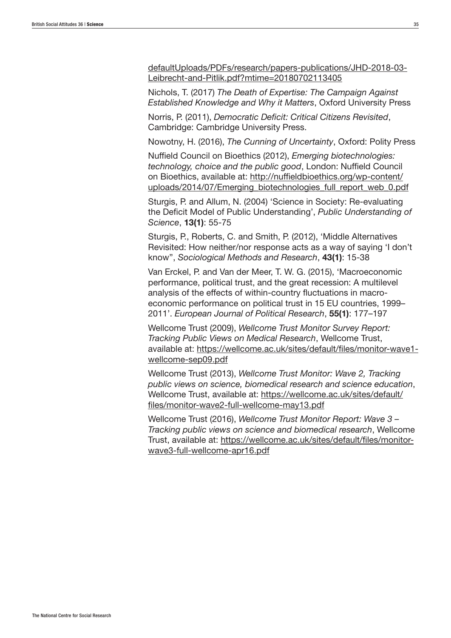defaultUploads/PDFs/research/papers-publications/JHD-2018-03- Leibrecht-and-Pitlik.pdf?mtime=20180702113405

Nichols, T. (2017) *The Death of Expertise: The Campaign Against Established Knowledge and Why it Matters*, Oxford University Press

Norris, P. (2011), *Democratic Deficit: Critical Citizens Revisited*, Cambridge: Cambridge University Press.

Nowotny, H. (2016), *The Cunning of Uncertainty*, Oxford: Polity Press

Nuffield Council on Bioethics (2012), *Emerging biotechnologies: technology, choice and the public good*, London: Nuffield Council on Bioethics, available at: http://nuffieldbioethics.org/wp-content/ uploads/2014/07/Emerging\_biotechnologies\_full\_report\_web\_0.pdf

Sturgis, P. and Allum, N. (2004) 'Science in Society: Re-evaluating the Deficit Model of Public Understanding', *Public Understanding of Science*, **13(1)**: 55-75

Sturgis, P., Roberts, C. and Smith, P. (2012), 'Middle Alternatives Revisited: How neither/nor response acts as a way of saying 'I don't know'', *Sociological Methods and Research*, **43(1)**: 15-38

Van Erckel, P. and Van der Meer, T. W. G. (2015), 'Macroeconomic performance, political trust, and the great recession: A multilevel analysis of the effects of within-country fluctuations in macroeconomic performance on political trust in 15 EU countries, 1999– 2011'. *European Journal of Political Research*, **55(1)**: 177–197

Wellcome Trust (2009), *Wellcome Trust Monitor Survey Report: Tracking Public Views on Medical Research*, Wellcome Trust, available at: https://wellcome.ac.uk/sites/default/files/monitor-wave1 wellcome-sep09.pdf

Wellcome Trust (2013), *Wellcome Trust Monitor: Wave 2, Tracking public views on science, biomedical research and science education*, Wellcome Trust, available at: https://wellcome.ac.uk/sites/default/ files/monitor-wave2-full-wellcome-may13.pdf

Wellcome Trust (2016), *Wellcome Trust Monitor Report: Wave 3 – Tracking public views on science and biomedical research*, Wellcome Trust, available at: https://wellcome.ac.uk/sites/default/files/monitorwave3-full-wellcome-apr16.pdf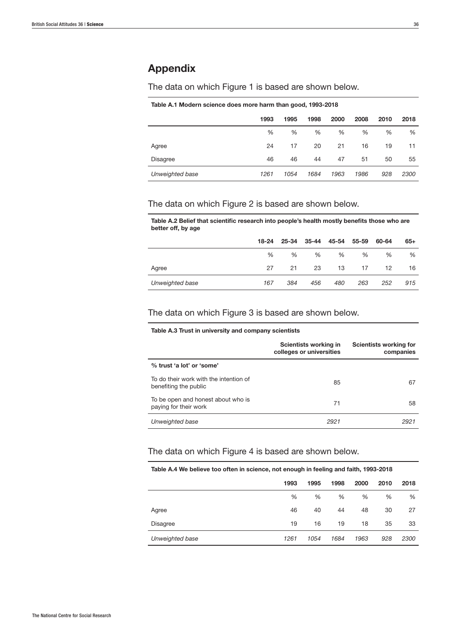## Appendix

The data on which Figure 1 is based are shown below.

#### Table A.1 Modern science does more harm than good, 1993-2018

|                 | 1993 | 1995 | 1998 | 2000 | 2008 | 2010 | 2018 |
|-----------------|------|------|------|------|------|------|------|
|                 | %    | %    | %    | %    | $\%$ | $\%$ | %    |
| Agree           | 24   | 17   | 20   | 21   | 16   | 19   | 11   |
| <b>Disagree</b> | 46   | 46   | 44   | 47   | 51   | 50   | 55   |
| Unweighted base | 1261 | 1054 | 1684 | 1963 | 1986 | 928  | 2300 |

#### The data on which Figure 2 is based are shown below.

#### Table A.2 Belief that scientific research into people's health mostly benefits those who are better off, by age

|                 |     |      | 18-24 25-34 35-44 45-54 |      |     | 55-59 60-64 | 65+ |
|-----------------|-----|------|-------------------------|------|-----|-------------|-----|
|                 | ℅   | $\%$ | %                       | $\%$ | %   | %           | %   |
| Agree           | 27  | 21   | 23                      | 13   | 17  | 12          | 16  |
| Unweighted base | 167 | 384  | 456                     | 480  | 263 | 252         | 915 |

#### The data on which Figure 3 is based are shown below.

#### Table A.3 Trust in university and company scientists

|                                                                 | Scientists working in<br>colleges or universities | Scientists working for<br>companies |
|-----------------------------------------------------------------|---------------------------------------------------|-------------------------------------|
| % trust 'a lot' or 'some'                                       |                                                   |                                     |
| To do their work with the intention of<br>benefiting the public | 85                                                | 67                                  |
| To be open and honest about who is<br>paying for their work     | 71                                                | 58                                  |
| Unweighted base                                                 | 2921                                              | 2921                                |

#### The data on which Figure 4 is based are shown below.

#### Table A.4 We believe too often in science, not enough in feeling and faith, 1993-2018

|                 | 1993 | 1995 | 1998 | 2000 | 2010 | 2018 |
|-----------------|------|------|------|------|------|------|
|                 | %    | $\%$ | %    | $\%$ | %    | %    |
| Agree           | 46   | 40   | 44   | 48   | 30   | 27   |
| Disagree        | 19   | 16   | 19   | 18   | 35   | 33   |
| Unweighted base | 1261 | 1054 | 1684 | 1963 | 928  | 2300 |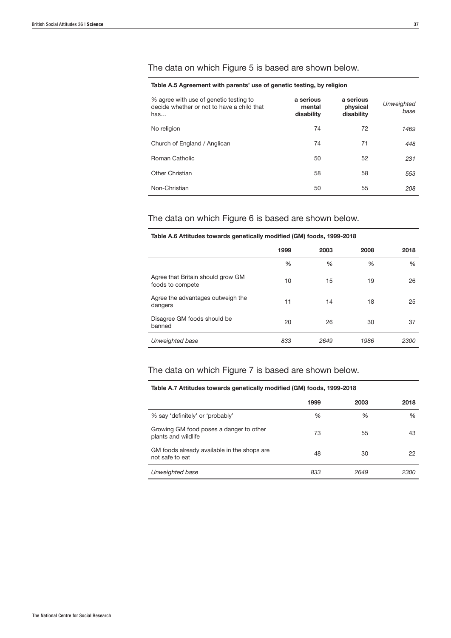## The data on which Figure 5 is based are shown below.

#### Table A.5 Agreement with parents' use of genetic testing, by religion

| % agree with use of genetic testing to<br>decide whether or not to have a child that<br>has | a serious<br>mental<br>disability | a serious<br>physical<br>disability | <b>Unweighted</b><br>base |
|---------------------------------------------------------------------------------------------|-----------------------------------|-------------------------------------|---------------------------|
| No religion                                                                                 | 74                                | 72                                  | 1469                      |
| Church of England / Anglican                                                                | 74                                | 71                                  | 448                       |
| Roman Catholic                                                                              | 50                                | 52                                  | 231                       |
| Other Christian                                                                             | 58                                | 58                                  | 553                       |
| Non-Christian                                                                               | 50                                | 55                                  | 208                       |

### The data on which Figure 6 is based are shown below.

| Table A.6 Attitudes towards genetically modified (GM) foods, 1999-2018 |      |      |      |      |
|------------------------------------------------------------------------|------|------|------|------|
|                                                                        | 1999 | 2003 | 2008 | 2018 |
|                                                                        | $\%$ | %    | $\%$ | $\%$ |
| Agree that Britain should grow GM<br>foods to compete                  | 10   | 15   | 19   | 26   |
| Agree the advantages outweigh the<br>dangers                           | 11   | 14   | 18   | 25   |
| Disagree GM foods should be<br>banned                                  | 20   | 26   | 30   | 37   |
| Unweighted base                                                        | 833  | 2649 | 1986 | 2300 |

#### The data on which Figure 7 is based are shown below.

#### Table A.7 Attitudes towards genetically modified (GM) foods, 1999-2018

|                                                                | 1999 | 2003 | 2018 |
|----------------------------------------------------------------|------|------|------|
| % say 'definitely' or 'probably'                               | $\%$ | $\%$ | %    |
| Growing GM food poses a danger to other<br>plants and wildlife | 73   | 55   | 43   |
| GM foods already available in the shops are<br>not safe to eat | 48   | 30   | 22   |
| Unweighted base                                                | 833  | 2649 | 2300 |